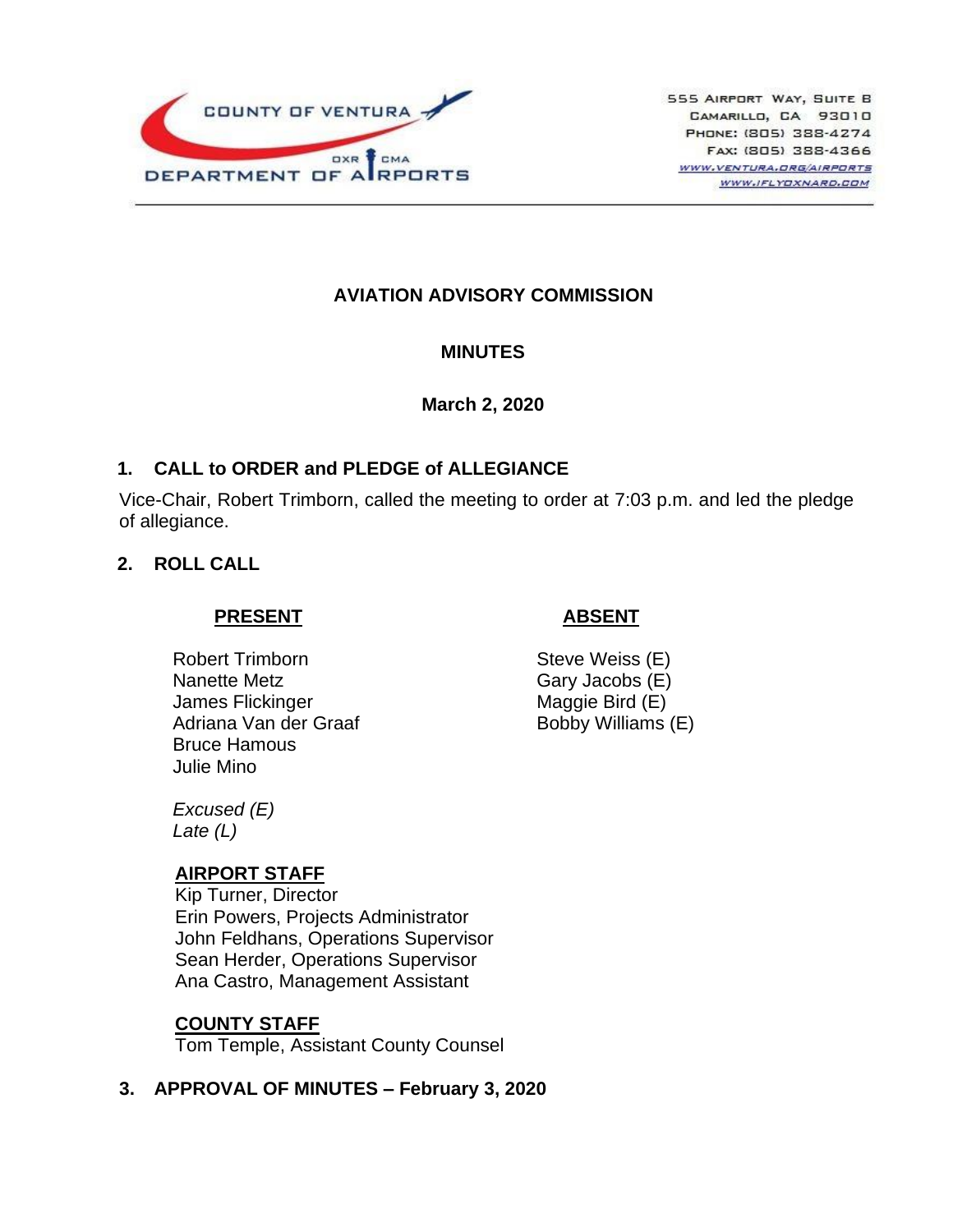

# **AVIATION ADVISORY COMMISSION**

#### **MINUTES**

#### **March 2, 2020**

## **1. CALL to ORDER and PLEDGE of ALLEGIANCE**

Vice-Chair, Robert Trimborn, called the meeting to order at 7:03 p.m. and led the pledge of allegiance.

## **2. ROLL CALL**

### **PRESENT**

Robert Trimborn Nanette Metz James Flickinger Adriana Van der Graaf Bruce Hamous Julie Mino

### **ABSENT**

Steve Weiss (E) Gary Jacobs (E) Maggie Bird (E) Bobby Williams (E)

*Excused (E) Late (L)*

#### **AIRPORT STAFF**

Kip Turner, Director Erin Powers, Projects Administrator John Feldhans, Operations Supervisor Sean Herder, Operations Supervisor Ana Castro, Management Assistant

#### **COUNTY STAFF**

Tom Temple, Assistant County Counsel

# **3. APPROVAL OF MINUTES – February 3, 2020**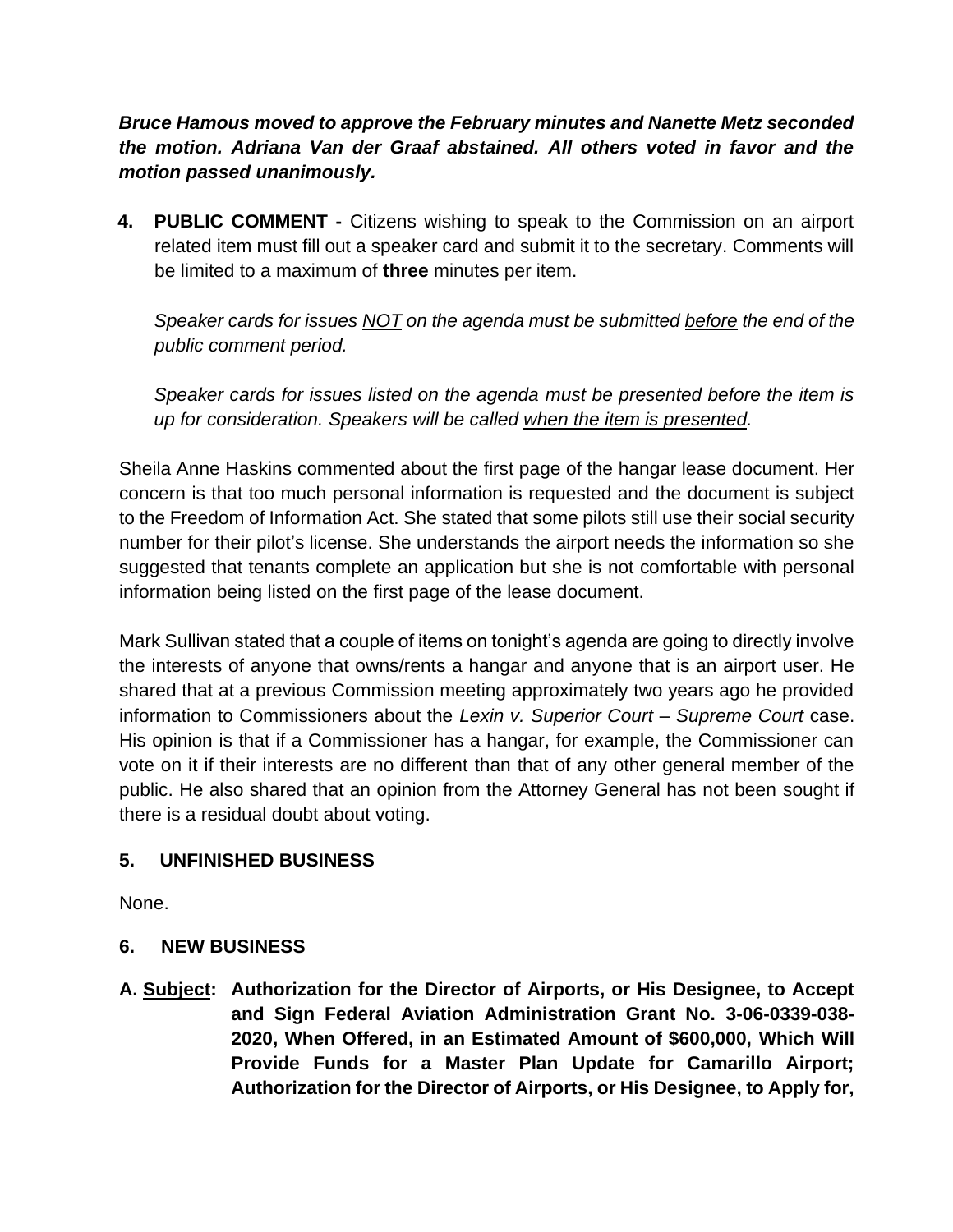*Bruce Hamous moved to approve the February minutes and Nanette Metz seconded the motion. Adriana Van der Graaf abstained. All others voted in favor and the motion passed unanimously.*

**4. PUBLIC COMMENT -** Citizens wishing to speak to the Commission on an airport related item must fill out a speaker card and submit it to the secretary. Comments will be limited to a maximum of **three** minutes per item.

*Speaker cards for issues NOT on the agenda must be submitted before the end of the public comment period.* 

*Speaker cards for issues listed on the agenda must be presented before the item is up for consideration. Speakers will be called when the item is presented.*

Sheila Anne Haskins commented about the first page of the hangar lease document. Her concern is that too much personal information is requested and the document is subject to the Freedom of Information Act. She stated that some pilots still use their social security number for their pilot's license. She understands the airport needs the information so she suggested that tenants complete an application but she is not comfortable with personal information being listed on the first page of the lease document.

Mark Sullivan stated that a couple of items on tonight's agenda are going to directly involve the interests of anyone that owns/rents a hangar and anyone that is an airport user. He shared that at a previous Commission meeting approximately two years ago he provided information to Commissioners about the *Lexin v. Superior Court – Supreme Court* case. His opinion is that if a Commissioner has a hangar, for example, the Commissioner can vote on it if their interests are no different than that of any other general member of the public. He also shared that an opinion from the Attorney General has not been sought if there is a residual doubt about voting.

# **5. UNFINISHED BUSINESS**

None.

# **6. NEW BUSINESS**

**A. Subject: Authorization for the Director of Airports, or His Designee, to Accept and Sign Federal Aviation Administration Grant No. 3-06-0339-038- 2020, When Offered, in an Estimated Amount of \$600,000, Which Will Provide Funds for a Master Plan Update for Camarillo Airport; Authorization for the Director of Airports, or His Designee, to Apply for,**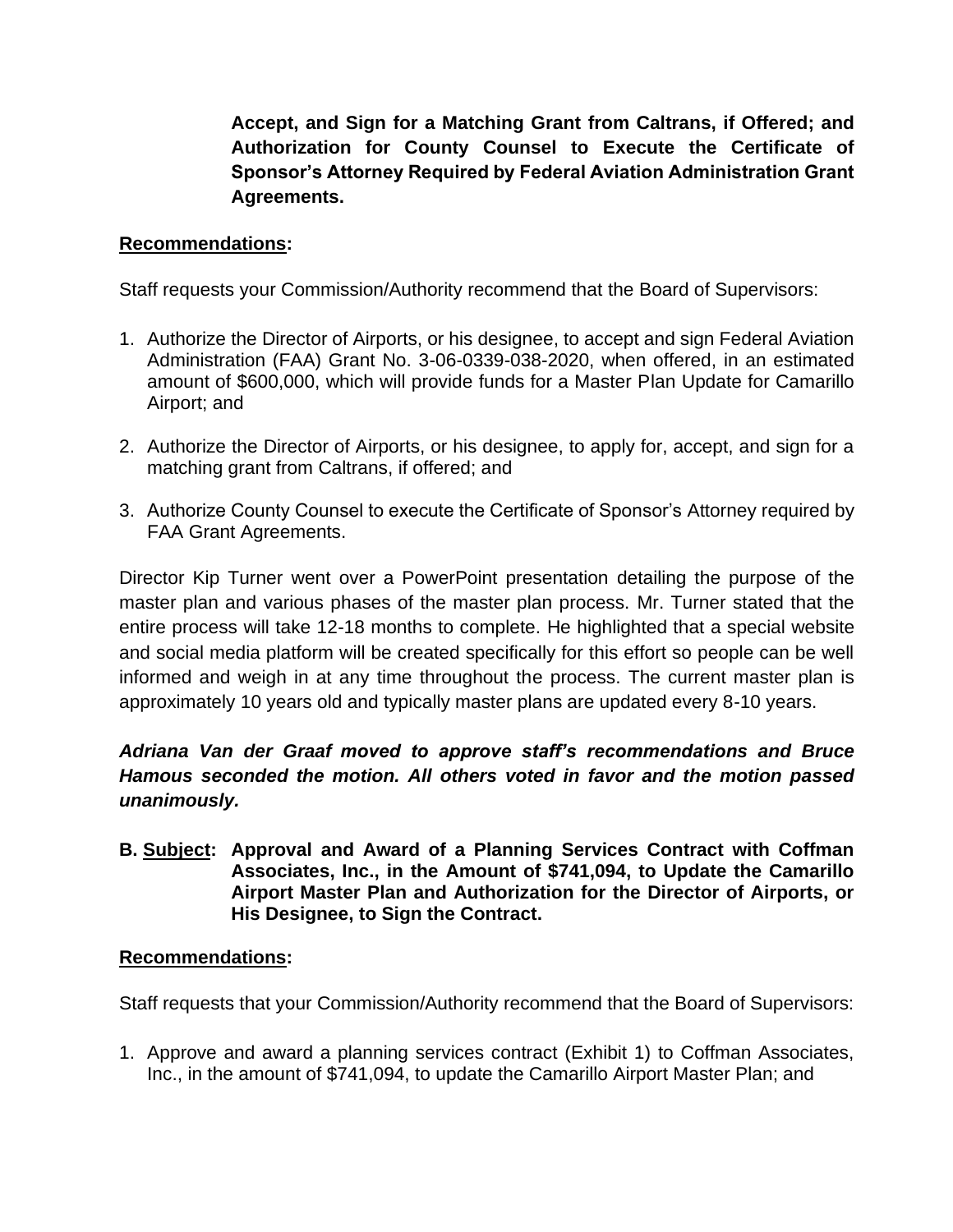**Accept, and Sign for a Matching Grant from Caltrans, if Offered; and Authorization for County Counsel to Execute the Certificate of Sponsor's Attorney Required by Federal Aviation Administration Grant Agreements.**

## **Recommendations:**

Staff requests your Commission/Authority recommend that the Board of Supervisors:

- 1. Authorize the Director of Airports, or his designee, to accept and sign Federal Aviation Administration (FAA) Grant No. 3-06-0339-038-2020, when offered, in an estimated amount of \$600,000, which will provide funds for a Master Plan Update for Camarillo Airport; and
- 2. Authorize the Director of Airports, or his designee, to apply for, accept, and sign for a matching grant from Caltrans, if offered; and
- 3. Authorize County Counsel to execute the Certificate of Sponsor's Attorney required by FAA Grant Agreements.

Director Kip Turner went over a PowerPoint presentation detailing the purpose of the master plan and various phases of the master plan process. Mr. Turner stated that the entire process will take 12-18 months to complete. He highlighted that a special website and social media platform will be created specifically for this effort so people can be well informed and weigh in at any time throughout the process. The current master plan is approximately 10 years old and typically master plans are updated every 8-10 years.

*Adriana Van der Graaf moved to approve staff's recommendations and Bruce Hamous seconded the motion. All others voted in favor and the motion passed unanimously.*

**B. Subject: Approval and Award of a Planning Services Contract with Coffman Associates, Inc., in the Amount of \$741,094, to Update the Camarillo Airport Master Plan and Authorization for the Director of Airports, or His Designee, to Sign the Contract.**

#### **Recommendations:**

Staff requests that your Commission/Authority recommend that the Board of Supervisors:

1. Approve and award a planning services contract (Exhibit 1) to Coffman Associates, Inc., in the amount of \$741,094, to update the Camarillo Airport Master Plan; and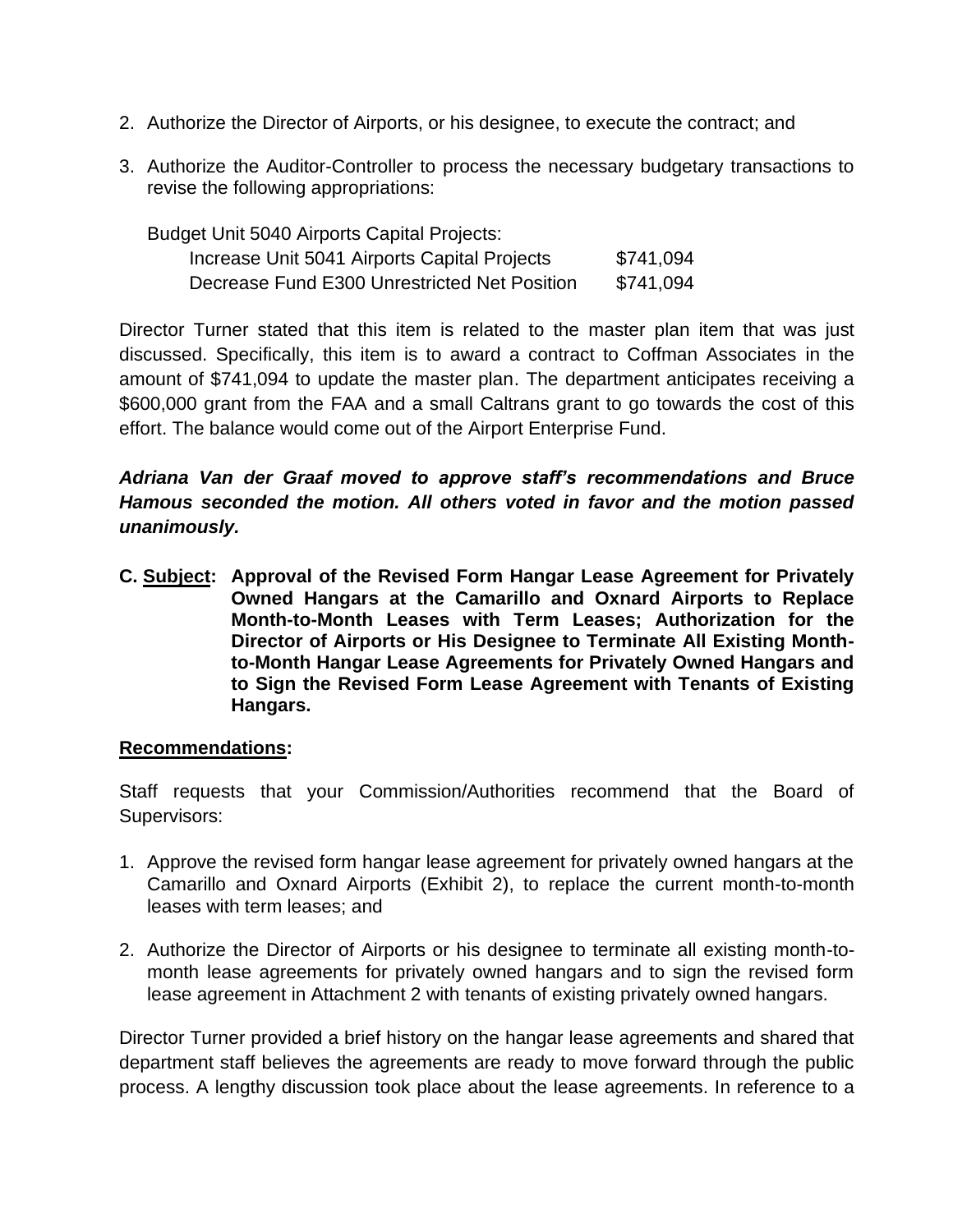- 2. Authorize the Director of Airports, or his designee, to execute the contract; and
- 3. Authorize the Auditor-Controller to process the necessary budgetary transactions to revise the following appropriations:

| Budget Unit 5040 Airports Capital Projects:  |           |
|----------------------------------------------|-----------|
| Increase Unit 5041 Airports Capital Projects | \$741,094 |
| Decrease Fund E300 Unrestricted Net Position | \$741,094 |

Director Turner stated that this item is related to the master plan item that was just discussed. Specifically, this item is to award a contract to Coffman Associates in the amount of \$741,094 to update the master plan. The department anticipates receiving a \$600,000 grant from the FAA and a small Caltrans grant to go towards the cost of this effort. The balance would come out of the Airport Enterprise Fund.

*Adriana Van der Graaf moved to approve staff's recommendations and Bruce Hamous seconded the motion. All others voted in favor and the motion passed unanimously.*

**C. Subject: Approval of the Revised Form Hangar Lease Agreement for Privately Owned Hangars at the Camarillo and Oxnard Airports to Replace Month-to-Month Leases with Term Leases; Authorization for the Director of Airports or His Designee to Terminate All Existing Monthto-Month Hangar Lease Agreements for Privately Owned Hangars and to Sign the Revised Form Lease Agreement with Tenants of Existing Hangars.**

#### **Recommendations:**

Staff requests that your Commission/Authorities recommend that the Board of Supervisors:

- 1. Approve the revised form hangar lease agreement for privately owned hangars at the Camarillo and Oxnard Airports (Exhibit 2), to replace the current month-to-month leases with term leases; and
- 2. Authorize the Director of Airports or his designee to terminate all existing month-tomonth lease agreements for privately owned hangars and to sign the revised form lease agreement in Attachment 2 with tenants of existing privately owned hangars.

Director Turner provided a brief history on the hangar lease agreements and shared that department staff believes the agreements are ready to move forward through the public process. A lengthy discussion took place about the lease agreements. In reference to a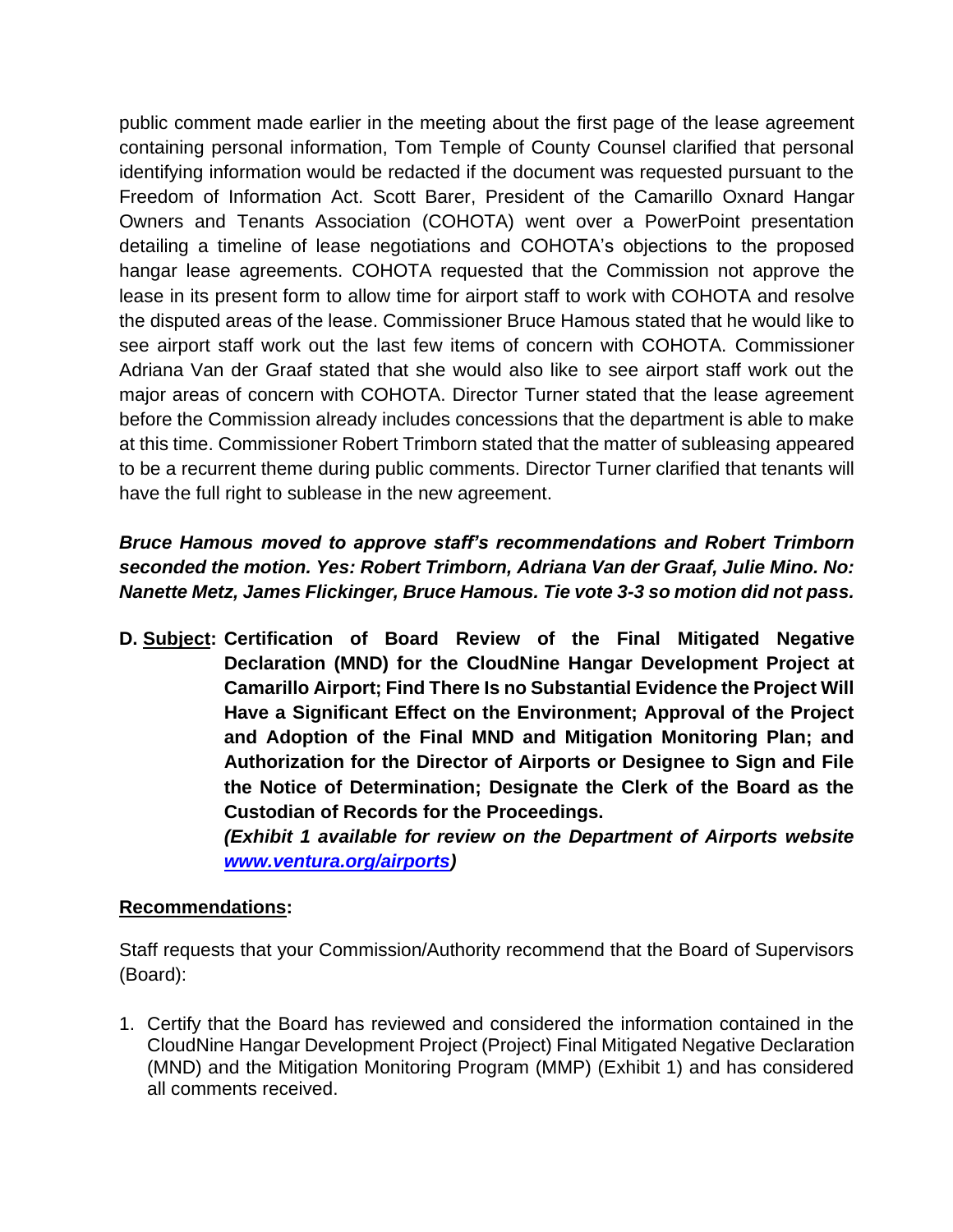public comment made earlier in the meeting about the first page of the lease agreement containing personal information, Tom Temple of County Counsel clarified that personal identifying information would be redacted if the document was requested pursuant to the Freedom of Information Act. Scott Barer, President of the Camarillo Oxnard Hangar Owners and Tenants Association (COHOTA) went over a PowerPoint presentation detailing a timeline of lease negotiations and COHOTA's objections to the proposed hangar lease agreements. COHOTA requested that the Commission not approve the lease in its present form to allow time for airport staff to work with COHOTA and resolve the disputed areas of the lease. Commissioner Bruce Hamous stated that he would like to see airport staff work out the last few items of concern with COHOTA. Commissioner Adriana Van der Graaf stated that she would also like to see airport staff work out the major areas of concern with COHOTA. Director Turner stated that the lease agreement before the Commission already includes concessions that the department is able to make at this time. Commissioner Robert Trimborn stated that the matter of subleasing appeared to be a recurrent theme during public comments. Director Turner clarified that tenants will have the full right to sublease in the new agreement.

# *Bruce Hamous moved to approve staff's recommendations and Robert Trimborn seconded the motion. Yes: Robert Trimborn, Adriana Van der Graaf, Julie Mino. No: Nanette Metz, James Flickinger, Bruce Hamous. Tie vote 3-3 so motion did not pass.*

**D. Subject: Certification of Board Review of the Final Mitigated Negative Declaration (MND) for the CloudNine Hangar Development Project at Camarillo Airport; Find There Is no Substantial Evidence the Project Will Have a Significant Effect on the Environment; Approval of the Project and Adoption of the Final MND and Mitigation Monitoring Plan; and Authorization for the Director of Airports or Designee to Sign and File the Notice of Determination; Designate the Clerk of the Board as the Custodian of Records for the Proceedings.**

*(Exhibit 1 available for review on the Department of Airports website [www.ventura.org/airports\)](http://www.ventura.org/airports)* 

# **Recommendations:**

Staff requests that your Commission/Authority recommend that the Board of Supervisors (Board):

1. Certify that the Board has reviewed and considered the information contained in the CloudNine Hangar Development Project (Project) Final Mitigated Negative Declaration (MND) and the Mitigation Monitoring Program (MMP) (Exhibit 1) and has considered all comments received.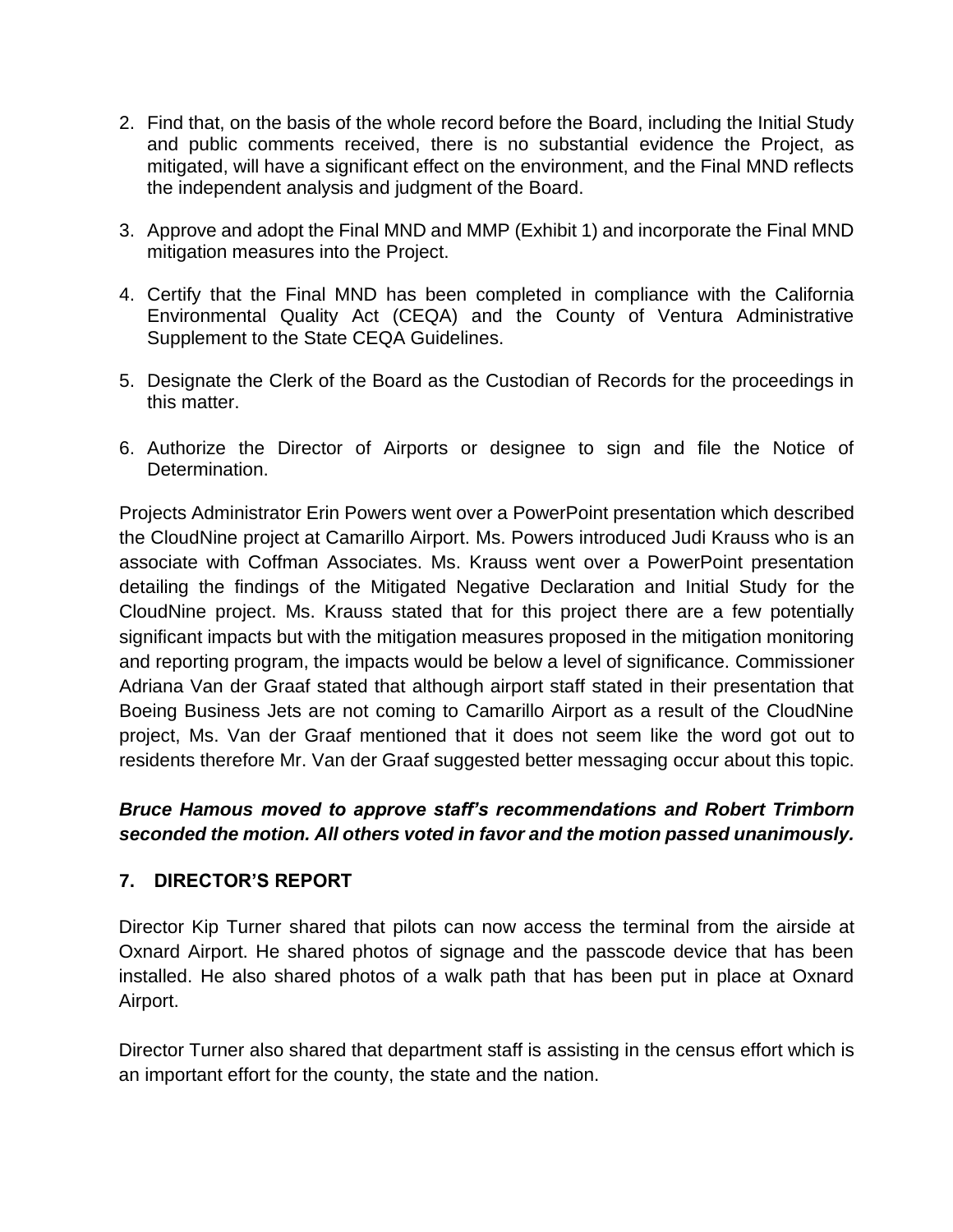- 2. Find that, on the basis of the whole record before the Board, including the Initial Study and public comments received, there is no substantial evidence the Project, as mitigated, will have a significant effect on the environment, and the Final MND reflects the independent analysis and judgment of the Board.
- 3. Approve and adopt the Final MND and MMP (Exhibit 1) and incorporate the Final MND mitigation measures into the Project.
- 4. Certify that the Final MND has been completed in compliance with the California Environmental Quality Act (CEQA) and the County of Ventura Administrative Supplement to the State CEQA Guidelines.
- 5. Designate the Clerk of the Board as the Custodian of Records for the proceedings in this matter.
- 6. Authorize the Director of Airports or designee to sign and file the Notice of Determination.

Projects Administrator Erin Powers went over a PowerPoint presentation which described the CloudNine project at Camarillo Airport. Ms. Powers introduced Judi Krauss who is an associate with Coffman Associates. Ms. Krauss went over a PowerPoint presentation detailing the findings of the Mitigated Negative Declaration and Initial Study for the CloudNine project. Ms. Krauss stated that for this project there are a few potentially significant impacts but with the mitigation measures proposed in the mitigation monitoring and reporting program, the impacts would be below a level of significance. Commissioner Adriana Van der Graaf stated that although airport staff stated in their presentation that Boeing Business Jets are not coming to Camarillo Airport as a result of the CloudNine project, Ms. Van der Graaf mentioned that it does not seem like the word got out to residents therefore Mr. Van der Graaf suggested better messaging occur about this topic.

# *Bruce Hamous moved to approve staff's recommendations and Robert Trimborn seconded the motion. All others voted in favor and the motion passed unanimously.*

# **7. DIRECTOR'S REPORT**

Director Kip Turner shared that pilots can now access the terminal from the airside at Oxnard Airport. He shared photos of signage and the passcode device that has been installed. He also shared photos of a walk path that has been put in place at Oxnard Airport.

Director Turner also shared that department staff is assisting in the census effort which is an important effort for the county, the state and the nation.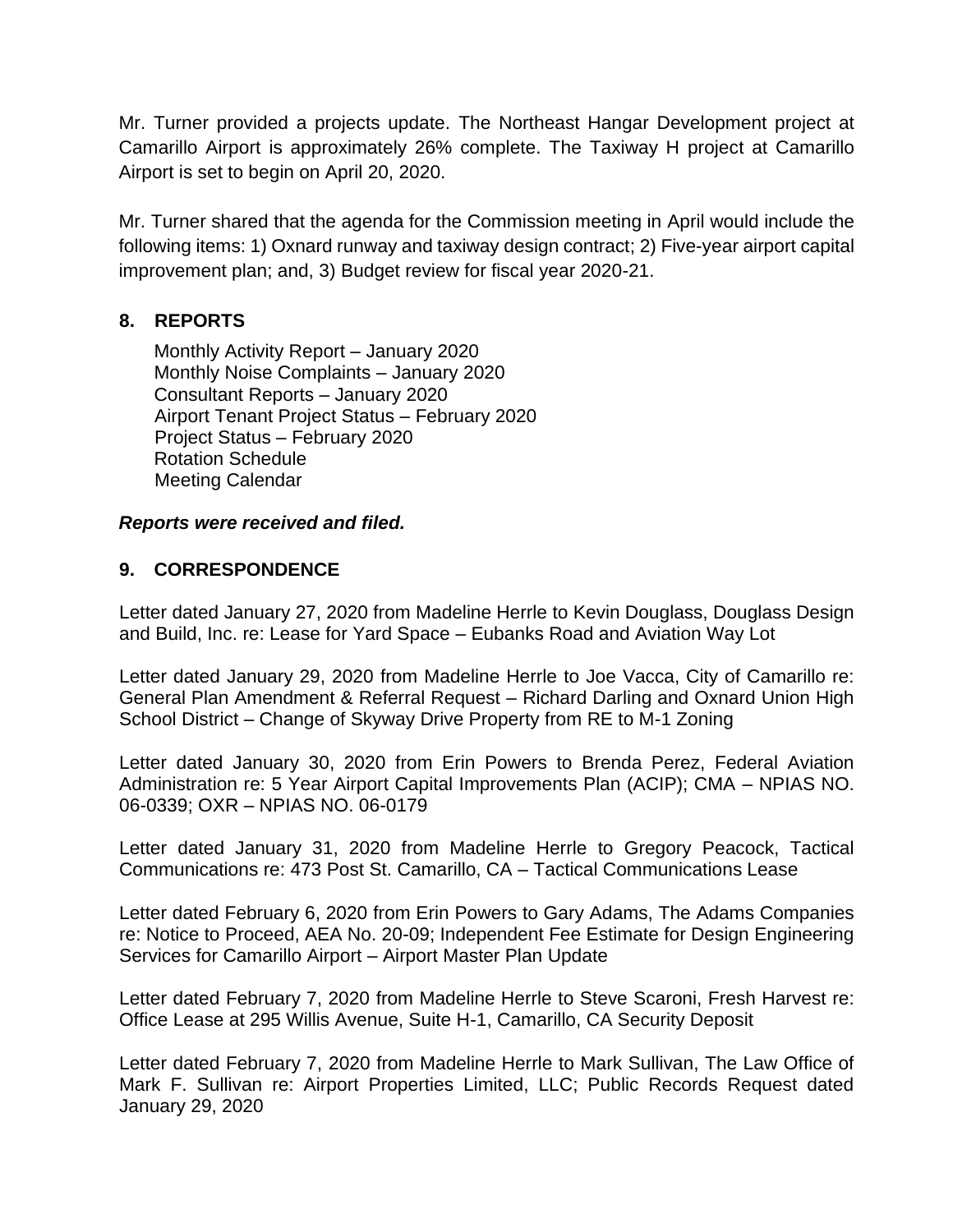Mr. Turner provided a projects update. The Northeast Hangar Development project at Camarillo Airport is approximately 26% complete. The Taxiway H project at Camarillo Airport is set to begin on April 20, 2020.

Mr. Turner shared that the agenda for the Commission meeting in April would include the following items: 1) Oxnard runway and taxiway design contract; 2) Five-year airport capital improvement plan; and, 3) Budget review for fiscal year 2020-21.

# **8. REPORTS**

Monthly Activity Report – January 2020 Monthly Noise Complaints – January 2020 Consultant Reports – January 2020 Airport Tenant Project Status – February 2020 Project Status – February 2020 Rotation Schedule Meeting Calendar

#### *Reports were received and filed.*

#### **9. CORRESPONDENCE**

Letter dated January 27, 2020 from Madeline Herrle to Kevin Douglass, Douglass Design and Build, Inc. re: Lease for Yard Space – Eubanks Road and Aviation Way Lot

Letter dated January 29, 2020 from Madeline Herrle to Joe Vacca, City of Camarillo re: General Plan Amendment & Referral Request – Richard Darling and Oxnard Union High School District – Change of Skyway Drive Property from RE to M-1 Zoning

Letter dated January 30, 2020 from Erin Powers to Brenda Perez, Federal Aviation Administration re: 5 Year Airport Capital Improvements Plan (ACIP); CMA – NPIAS NO. 06-0339; OXR – NPIAS NO. 06-0179

Letter dated January 31, 2020 from Madeline Herrle to Gregory Peacock, Tactical Communications re: 473 Post St. Camarillo, CA – Tactical Communications Lease

Letter dated February 6, 2020 from Erin Powers to Gary Adams, The Adams Companies re: Notice to Proceed, AEA No. 20-09; Independent Fee Estimate for Design Engineering Services for Camarillo Airport – Airport Master Plan Update

Letter dated February 7, 2020 from Madeline Herrle to Steve Scaroni, Fresh Harvest re: Office Lease at 295 Willis Avenue, Suite H-1, Camarillo, CA Security Deposit

Letter dated February 7, 2020 from Madeline Herrle to Mark Sullivan, The Law Office of Mark F. Sullivan re: Airport Properties Limited, LLC; Public Records Request dated January 29, 2020